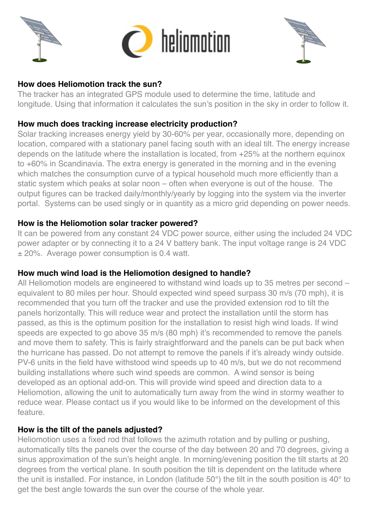



## **How does Heliomotion track the sun?**

The tracker has an integrated GPS module used to determine the time, latitude and longitude. Using that information it calculates the sun's position in the sky in order to follow it.

### **How much does tracking increase electricity production?**

Solar tracking increases energy yield by 30-60% per year, occasionally more, depending on location, compared with a stationary panel facing south with an ideal tilt. The energy increase depends on the latitude where the installation is located, from +25% at the northern equinox to +60% in Scandinavia. The extra energy is generated in the morning and in the evening which matches the consumption curve of a typical household much more efficiently than a static system which peaks at solar noon – often when everyone is out of the house. The output figures can be tracked daily/monthly/yearly by logging into the system via the inverter portal. Systems can be used singly or in quantity as a micro grid depending on power needs.

### **How is the Heliomotion solar tracker powered?**

It can be powered from any constant 24 VDC power source, either using the included 24 VDC power adapter or by connecting it to a 24 V battery bank. The input voltage range is 24 VDC ± 20%. Average power consumption is 0.4 watt.

### **How much wind load is the Heliomotion designed to handle?**

All Heliomotion models are engineered to withstand wind loads up to 35 metres per second – equivalent to 80 miles per hour. Should expected wind speed surpass 30 m/s (70 mph), it is recommended that you turn off the tracker and use the provided extension rod to tilt the panels horizontally. This will reduce wear and protect the installation until the storm has passed, as this is the optimum position for the installation to resist high wind loads. If wind speeds are expected to go above 35 m/s (80 mph) it's recommended to remove the panels and move them to safety. This is fairly straightforward and the panels can be put back when the hurricane has passed. Do not attempt to remove the panels if it's already windy outside. PV-6 units in the field have withstood wind speeds up to 40 m/s, but we do not recommend building installations where such wind speeds are common. A wind sensor is being developed as an optional add-on. This will provide wind speed and direction data to a Heliomotion, allowing the unit to automatically turn away from the wind in stormy weather to reduce wear. Please contact us if you would like to be informed on the development of this feature.

### **How is the tilt of the panels adjusted?**

Heliomotion uses a fixed rod that follows the azimuth rotation and by pulling or pushing, automatically tilts the panels over the course of the day between 20 and 70 degrees, giving a sinus approximation of the sun's height angle. In morning/evening position the tilt starts at 20 degrees from the vertical plane. In south position the tilt is dependent on the latitude where the unit is installed. For instance, in London (latitude 50°) the tilt in the south position is 40° to get the best angle towards the sun over the course of the whole year.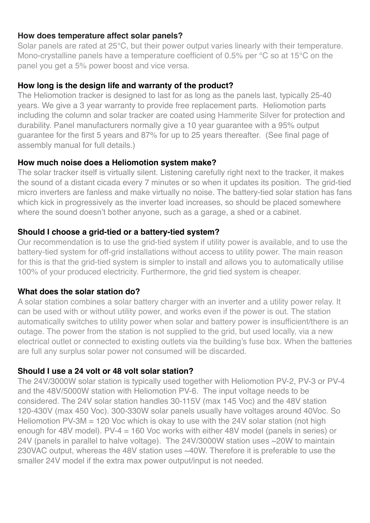#### **How does temperature affect solar panels?**

Solar panels are rated at 25°C, but their power output varies linearly with their temperature. Mono-crystalline panels have a temperature coefficient of 0.5% per °C so at 15°C on the panel you get a 5% power boost and vice versa.

## **How long is the design life and warranty of the product?**

The Heliomotion tracker is designed to last for as long as the panels last, typically 25-40 years. We give a 3 year warranty to provide free replacement parts. Heliomotion parts including the column and solar tracker are coated using Hammerite Silver for protection and durability. Panel manufacturers normally give a 10 year guarantee with a 95% output guarantee for the first 5 years and 87% for up to 25 years thereafter. (See final page of assembly manual for full details.)

## **How much noise does a Heliomotion system make?**

The solar tracker itself is virtually silent. Listening carefully right next to the tracker, it makes the sound of a distant cicada every 7 minutes or so when it updates its position. The grid-tied micro inverters are fanless and make virtually no noise. The battery-tied solar station has fans which kick in progressively as the inverter load increases, so should be placed somewhere where the sound doesn't bother anyone, such as a garage, a shed or a cabinet.

## **Should I choose a grid-tied or a battery-tied system?**

Our recommendation is to use the grid-tied system if utility power is available, and to use the battery-tied system for off-grid installations without access to utility power. The main reason for this is that the grid-tied system is simpler to install and allows you to automatically utilise 100% of your produced electricity. Furthermore, the grid tied system is cheaper.

### **What does the solar station do?**

A solar station combines a solar battery charger with an inverter and a utility power relay. It can be used with or without utility power, and works even if the power is out. The station automatically switches to utility power when solar and battery power is insufficient/there is an outage. The power from the station is not supplied to the grid, but used locally, via a new electrical outlet or connected to existing outlets via the building's fuse box. When the batteries are full any surplus solar power not consumed will be discarded.

### **Should I use a 24 volt or 48 volt solar station?**

The 24V/3000W solar station is typically used together with Heliomotion PV-2, PV-3 or PV-4 and the 48V/5000W station with Heliomotion PV-6. The input voltage needs to be considered. The 24V solar station handles 30-115V (max 145 Voc) and the 48V station 120-430V (max 450 Voc). 300-330W solar panels usually have voltages around 40Voc. So Heliomotion PV-3M = 120 Voc which is okay to use with the 24V solar station (not high enough for 48V model). PV-4 = 160 Voc works with either 48V model (panels in series) or 24V (panels in parallel to halve voltage). The 24V/3000W station uses ~20W to maintain 230VAC output, whereas the 48V station uses ~40W. Therefore it is preferable to use the smaller 24V model if the extra max power output/input is not needed.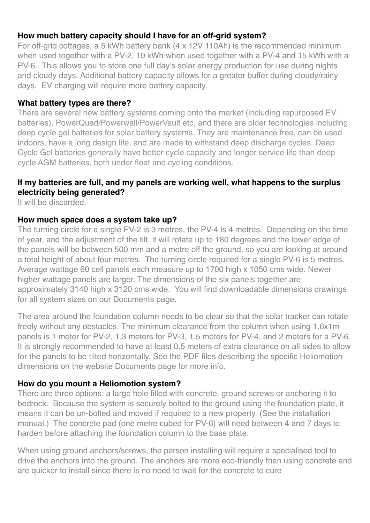### **How much battery capacity should I have for an off-grid system?**

For off-grid cottages, a 5 kWh battery bank (4 x 12V 110Ah) is the recommended minimum when used together with a PV-2, 10 kWh when used together with a PV-4 and 15 kWh with a PV-6. This allows you to store one full day's solar energy production for use during nights and cloudy days. Additional battery capacity allows for a greater buffer during cloudy/rainy days. EV charging will require more battery capacity.

#### **What battery types are there?**

There are several new battery systems coming onto the market (including repurposed EV batteries), PowerQuad/Powerwall/PowerVault etc, and there are older technologies including deep cycle gel batteries for solar battery systems. They are maintenance free, can be used indoors, have a long design life, and are made to withstand deep discharge cycles. Deep Cycle Gel batteries generally have better cycle capacity and longer service life than deep cycle AGM batteries, both under float and cycling conditions.

#### **If my batteries are full, and my panels are working well, what happens to the surplus electricity being generated?**

It will be discarded.

#### **How much space does a system take up?**

The turning circle for a single PV-2 is 3 metres, the PV-4 is 4 metres. Depending on the time of year, and the adjustment of the tilt, it will rotate up to 180 degrees and the lower edge of the panels will be between 500 mm and a metre off the ground, so you are looking at around a total height of about four metres. The turning circle required for a single PV-6 is 5 metres. Average wattage 60 cell panels each measure up to 1700 high x 1050 cms wide. Newer higher wattage panels are larger. The dimensions of the six panels together are approximately 3140 high x 3120 cms wide. You will find downloadable dimensions drawings for all system sizes on our Documents page.

The area around the foundation column needs to be clear so that the solar tracker can rotate freely without any obstacles. The minimum clearance from the column when using 1.6x1m panels is 1 meter for PV-2, 1.3 meters for PV-3, 1.5 meters for PV-4, and 2 meters for a PV-6. It is strongly recommended to have at least 0.5 meters of extra clearance on all sides to allow for the panels to be tilted horizontally. See the PDF files describing the specific Heliomotion dimensions on the website Documents page for more info.

### **How do you mount a Heliomotion system?**

There are three options: a large hole filled with concrete, ground screws or anchoring it to bedrock. Because the system is securely bolted to the ground using the foundation plate, it means it can be un-bolted and moved if required to a new property. (See the installation manual.) The concrete pad (one metre cubed for PV-6) will need between 4 and 7 days to harden before attaching the foundation column to the base plate.

When using ground anchors/screws, the person installing will require a specialised tool to drive the anchors into the ground. The anchors are more eco-friendly than using concrete and are quicker to install since there is no need to wait for the concrete to cure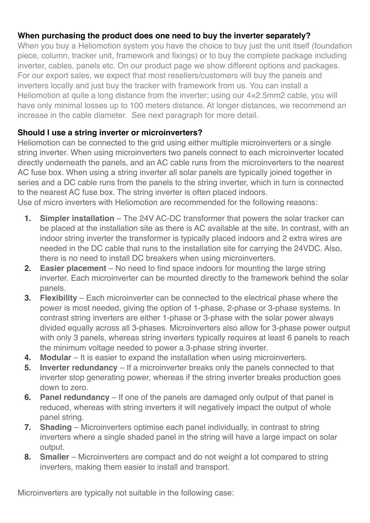## **When purchasing the product does one need to buy the inverter separately?**

When you buy a Heliomotion system you have the choice to buy just the unit itself (foundation piece, column, tracker unit, framework and fixings) or to buy the complete package including inverter, cables, panels etc. On our product page we show different options and packages. For our export sales, we expect that most resellers/customers will buy the panels and inverters locally and just buy the tracker with framework from us. You can install a Heliomotion at quite a long distance from the inverter; using our 4×2.5mm2 cable, you will have only minimal losses up to 100 meters distance. At longer distances, we recommend an increase in the cable diameter. See next paragraph for more detail.

## **Should I use a string inverter or microinverters?**

Heliomotion can be connected to the grid using either multiple microinverters or a single string inverter. When using microinverters two panels connect to each microinverter located directly underneath the panels, and an AC cable runs from the microinverters to the nearest AC fuse box. When using a string inverter all solar panels are typically joined together in series and a DC cable runs from the panels to the string inverter, which in turn is connected to the nearest AC fuse box. The string inverter is often placed indoors.

Use of micro inverters with Heliomotion are recommended for the following reasons:

- **1. Simpler installation** The 24V AC-DC transformer that powers the solar tracker can be placed at the installation site as there is AC available at the site. In contrast, with an indoor string inverter the transformer is typically placed indoors and 2 extra wires are needed in the DC cable that runs to the installation site for carrying the 24VDC. Also, there is no need to install DC breakers when using microinverters.
- **2. Easier placement** No need to find space indoors for mounting the large string inverter. Each microinverter can be mounted directly to the framework behind the solar panels.
- **3. Flexibility** Each microinverter can be connected to the electrical phase where the power is most needed, giving the option of 1-phase, 2-phase or 3-phase systems. In contrast string inverters are either 1-phase or 3-phase with the solar power always divided equally across all 3-phases. Microinverters also allow for 3-phase power output with only 3 panels, whereas string inverters typically requires at least 6 panels to reach the minimum voltage needed to power a 3-phase string inverter.
- **4. Modular** It is easier to expand the installation when using microinverters.
- **5. Inverter redundancy** If a microinverter breaks only the panels connected to that inverter stop generating power, whereas if the string inverter breaks production goes down to zero.
- **6. Panel redundancy** If one of the panels are damaged only output of that panel is reduced, whereas with string inverters it will negatively impact the output of whole panel string.
- **7. Shading** Microinverters optimise each panel individually, in contrast to string inverters where a single shaded panel in the string will have a large impact on solar output.
- **8. Smaller** Microinverters are compact and do not weight a lot compared to string inverters, making them easier to install and transport.

Microinverters are typically not suitable in the following case: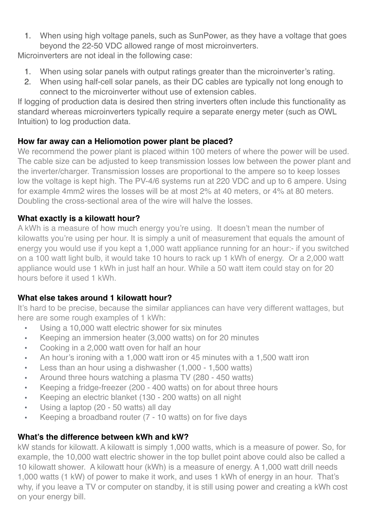1. When using high voltage panels, such as SunPower, as they have a voltage that goes beyond the 22-50 VDC allowed range of most microinverters.

Microinverters are not ideal in the following case:

- 1. When using solar panels with output ratings greater than the microinverter's rating.
- 2. When using half-cell solar panels, as their DC cables are typically not long enough to connect to the microinverter without use of extension cables.

If logging of production data is desired then string inverters often include this functionality as standard whereas microinverters typically require a separate energy meter (such as OWL Intuition) to log production data.

## **How far away can a Heliomotion power plant be placed?**

We recommend the power plant is placed within 100 meters of where the power will be used. The cable size can be adjusted to keep transmission losses low between the power plant and the inverter/charger. Transmission losses are proportional to the ampere so to keep losses low the voltage is kept high. The PV-4/6 systems run at 220 VDC and up to 6 ampere. Using for example 4mm2 wires the losses will be at most 2% at 40 meters, or 4% at 80 meters. Doubling the cross-sectional area of the wire will halve the losses.

# **What exactly is a kilowatt hour?**

A kWh is a measure of how much energy you're using. It doesn't mean the number of kilowatts you're using per hour. It is simply a unit of measurement that equals the amount of energy you would use if you kept a 1,000 watt appliance running for an hour:- if you switched on a 100 watt light bulb, it would take 10 hours to rack up 1 kWh of energy. Or a 2,000 watt appliance would use 1 kWh in just half an hour. While a 50 watt item could stay on for 20 hours before it used 1 kWh.

# **What else takes around 1 kilowatt hour?**

It's hard to be precise, because the similar appliances can have very different wattages, but here are some rough examples of 1 kWh:

- Using a 10,000 watt electric shower for six minutes
- Keeping an immersion heater (3,000 watts) on for 20 minutes
- Cooking in a 2,000 watt oven for half an hour
- An hour's ironing with a 1,000 watt iron or 45 minutes with a 1,500 watt iron
- Less than an hour using a dishwasher (1,000 1,500 watts)
- Around three hours watching a plasma TV (280 450 watts)
- Keeping a fridge-freezer (200 400 watts) on for about three hours
- Keeping an electric blanket (130 200 watts) on all night
- Using a laptop (20 50 watts) all day
- Keeping a broadband router (7 10 watts) on for five days

### **What's the difference between kWh and kW?**

kW stands for kilowatt. A kilowatt is simply 1,000 watts, which is a measure of power. So, for example, the 10,000 watt electric shower in the top bullet point above could also be called a 10 kilowatt shower. A kilowatt hour (kWh) is a measure of energy. A 1,000 watt drill needs 1,000 watts (1 kW) of power to make it work, and uses 1 kWh of energy in an hour. That's why, if you leave a TV or computer on standby, it is still using power and creating a kWh cost on your energy bill.